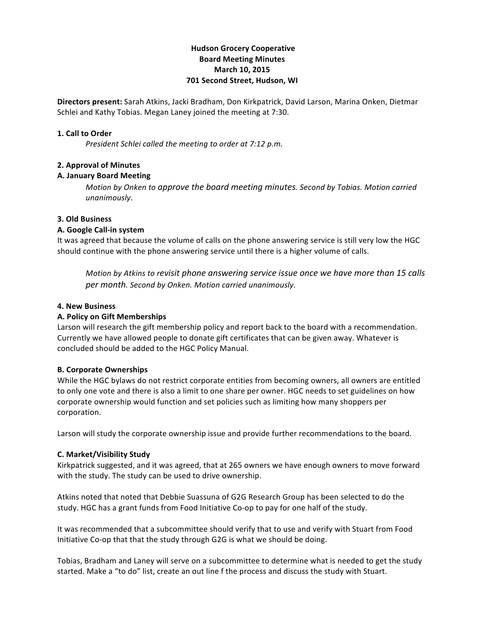# **Hudson Grocery Cooperative Board!Meeting!Minutes March 10,!2015 701 Second Street, Hudson, WI**

**Directors present:** Sarah Atkins, Jacki Bradham, Don Kirkpatrick, David Larson, Marina Onken, Dietmar Schlei and Kathy Tobias. Megan Laney joined the meeting at 7:30.

#### **1. Call to Order**

*President Schlei called the meeting to order at 7:12 p.m.* 

#### **2. Approval of Minutes**

#### **A.!January Board!Meeting**

*Motion by Onken to approve the board meeting minutes. Second by Tobias. Motion carried unanimously*.

#### **3.!Old!Business**

#### **A. Google Call-in system**

It was agreed that because the volume of calls on the phone answering service is still very low the HGC should continue with the phone answering service until there is a higher volume of calls.

*Motion by Atkins to revisit phone answering service issue once we have more than 15 calls per)month.)Second)by)Onken.)Motion)carried)unanimously*.

#### **4. New Business**

## **A. Policy on Gift Memberships**

Larson will research the gift membership policy and report back to the board with a recommendation. Currently we have allowed people to donate gift certificates that can be given away. Whatever is concluded should be added to the HGC Policy Manual.

#### **B. Corporate Ownerships**

While the HGC bylaws do not restrict corporate entities from becoming owners, all owners are entitled to only one vote and there is also a limit to one share per owner. HGC needs to set guidelines on how corporate ownership would function and set policies such as limiting how many shoppers per corporation.

Larson will study the corporate ownership issue and provide further recommendations to the board.

#### **C.!Market/Visibility!Study**

Kirkpatrick suggested, and it was agreed, that at 265 owners we have enough owners to move forward with the study. The study can be used to drive ownership.

Atkins noted that noted that Debbie Suassuna of G2G Research Group has been selected to do the study. HGC has a grant funds from Food Initiative Co-op to pay for one half of the study.

It was recommended that a subcommittee should verify that to use and verify with Stuart from Food Initiative Co-op that that the study through G2G is what we should be doing.

Tobias, Bradham and Laney will serve on a subcommittee to determine what is needed to get the study started. Make a "to do" list, create an out line f the process and discuss the study with Stuart.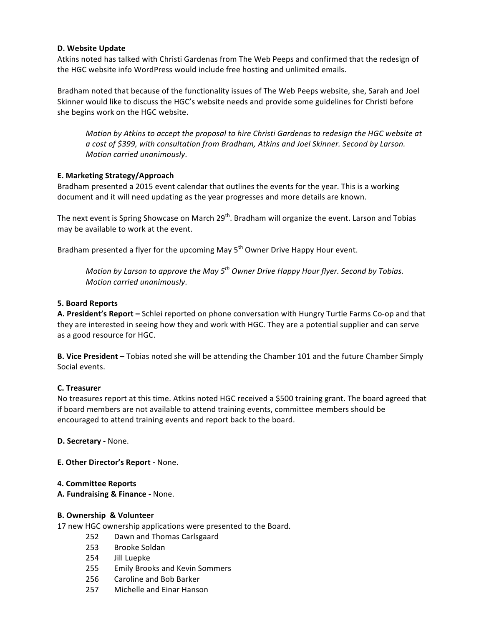## **D.!Website!Update**

Atkins noted has talked with Christi Gardenas from The Web Peeps and confirmed that the redesign of the HGC website info WordPress would include free hosting and unlimited emails.

Bradham noted that because of the functionality issues of The Web Peeps website, she, Sarah and Joel Skinner would like to discuss the HGC's website needs and provide some guidelines for Christi before she begins work on the HGC website.

*Motion by Atkins to accept the proposal to hire Christi Gardenas to redesign the HGC website at a)cost)of)\$399,)with consultation)from)Bradham,)Atkins and)Joel Skinner.)Second)by)Larson.) Motion carried unanimously.* 

## **E.!Marketing!Strategy/Approach**

Bradham presented a 2015 event calendar that outlines the events for the year. This is a working document and it will need updating as the year progresses and more details are known.

The next event is Spring Showcase on March 29<sup>th</sup>. Bradham will organize the event. Larson and Tobias may be available to work at the event.

Bradham presented a flyer for the upcoming May 5<sup>th</sup> Owner Drive Happy Hour event.

*Motion by Larson to approve the May 5<sup>th</sup> Owner Drive Happy Hour flyer. Second by Tobias. Motion carried unanimously.* 

## **5.!Board!Reports**

**A. President's Report –** Schlei reported on phone conversation with Hungry Turtle Farms Co-op and that they are interested in seeing how they and work with HGC. They are a potential supplier and can serve as a good resource for HGC.

**B. Vice President –** Tobias noted she will be attending the Chamber 101 and the future Chamber Simply Social events.

## **C.!Treasurer**

No treasures report at this time. Atkins noted HGC received a \$500 training grant. The board agreed that if board members are not available to attend training events, committee members should be encouraged to attend training events and report back to the board.

**D. Secretary - None.** 

## **E. Other Director's Report - None.**

## **4. Committee!Reports**

**A. Fundraising & Finance - None.** 

## **B.!Ownership &!Volunteer**

17 new HGC ownership applications were presented to the Board.

- 252 Dawn and Thomas Carlsgaard
- 253 Brooke Soldan
- 254 Jill Luepke
- 255 Emily Brooks and Kevin Sommers
- 256 Caroline and Bob Barker
- 257 Michelle and Einar Hanson